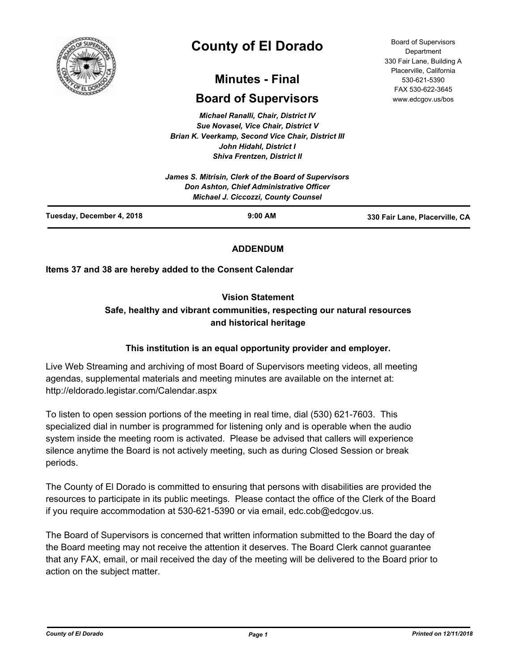

# **County of El Dorado**

## **Minutes - Final**

## **Board of Supervisors**

*Michael Ranalli, Chair, District IV Sue Novasel, Vice Chair, District V Brian K. Veerkamp, Second Vice Chair, District III John Hidahl, District I Shiva Frentzen, District II*

|                           | James S. Mitrisin, Clerk of the Board of Supervisors<br>Don Ashton, Chief Administrative Officer<br><b>Michael J. Ciccozzi, County Counsel</b> |                                |
|---------------------------|------------------------------------------------------------------------------------------------------------------------------------------------|--------------------------------|
| Tuesday, December 4, 2018 | $9:00$ AM                                                                                                                                      | 330 Fair Lane, Placerville, CA |

## **ADDENDUM**

## **Items 37 and 38 are hereby added to the Consent Calendar**

## **Vision Statement**

## **Safe, healthy and vibrant communities, respecting our natural resources and historical heritage**

## **This institution is an equal opportunity provider and employer.**

Live Web Streaming and archiving of most Board of Supervisors meeting videos, all meeting agendas, supplemental materials and meeting minutes are available on the internet at: http://eldorado.legistar.com/Calendar.aspx

To listen to open session portions of the meeting in real time, dial (530) 621-7603. This specialized dial in number is programmed for listening only and is operable when the audio system inside the meeting room is activated. Please be advised that callers will experience silence anytime the Board is not actively meeting, such as during Closed Session or break periods.

The County of El Dorado is committed to ensuring that persons with disabilities are provided the resources to participate in its public meetings. Please contact the office of the Clerk of the Board if you require accommodation at 530-621-5390 or via email, edc.cob@edcgov.us.

The Board of Supervisors is concerned that written information submitted to the Board the day of the Board meeting may not receive the attention it deserves. The Board Clerk cannot guarantee that any FAX, email, or mail received the day of the meeting will be delivered to the Board prior to action on the subject matter.

Board of Supervisors Department 330 Fair Lane, Building A Placerville, California 530-621-5390 FAX 530-622-3645 www.edcgov.us/bos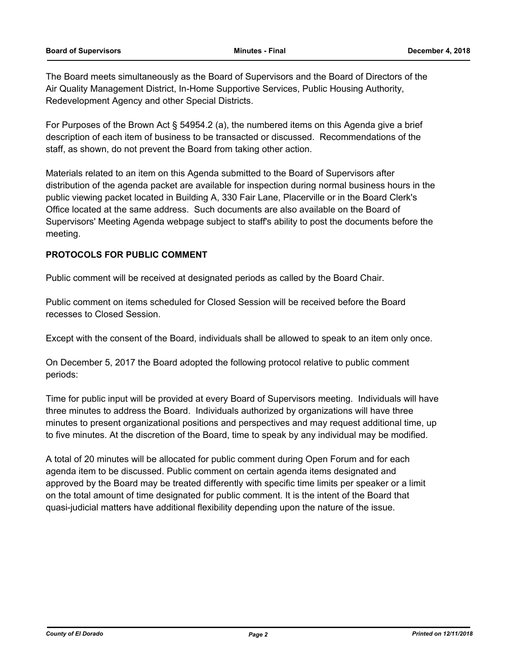The Board meets simultaneously as the Board of Supervisors and the Board of Directors of the Air Quality Management District, In-Home Supportive Services, Public Housing Authority, Redevelopment Agency and other Special Districts.

For Purposes of the Brown Act § 54954.2 (a), the numbered items on this Agenda give a brief description of each item of business to be transacted or discussed. Recommendations of the staff, as shown, do not prevent the Board from taking other action.

Materials related to an item on this Agenda submitted to the Board of Supervisors after distribution of the agenda packet are available for inspection during normal business hours in the public viewing packet located in Building A, 330 Fair Lane, Placerville or in the Board Clerk's Office located at the same address. Such documents are also available on the Board of Supervisors' Meeting Agenda webpage subject to staff's ability to post the documents before the meeting.

## **PROTOCOLS FOR PUBLIC COMMENT**

Public comment will be received at designated periods as called by the Board Chair.

Public comment on items scheduled for Closed Session will be received before the Board recesses to Closed Session.

Except with the consent of the Board, individuals shall be allowed to speak to an item only once.

On December 5, 2017 the Board adopted the following protocol relative to public comment periods:

Time for public input will be provided at every Board of Supervisors meeting. Individuals will have three minutes to address the Board. Individuals authorized by organizations will have three minutes to present organizational positions and perspectives and may request additional time, up to five minutes. At the discretion of the Board, time to speak by any individual may be modified.

A total of 20 minutes will be allocated for public comment during Open Forum and for each agenda item to be discussed. Public comment on certain agenda items designated and approved by the Board may be treated differently with specific time limits per speaker or a limit on the total amount of time designated for public comment. It is the intent of the Board that quasi-judicial matters have additional flexibility depending upon the nature of the issue.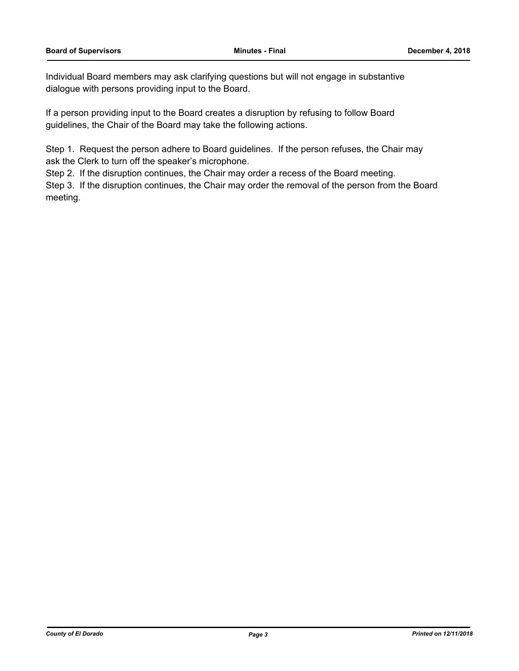Individual Board members may ask clarifying questions but will not engage in substantive dialogue with persons providing input to the Board.

If a person providing input to the Board creates a disruption by refusing to follow Board guidelines, the Chair of the Board may take the following actions.

Step 1. Request the person adhere to Board guidelines. If the person refuses, the Chair may ask the Clerk to turn off the speaker's microphone.

Step 2. If the disruption continues, the Chair may order a recess of the Board meeting.

Step 3. If the disruption continues, the Chair may order the removal of the person from the Board meeting.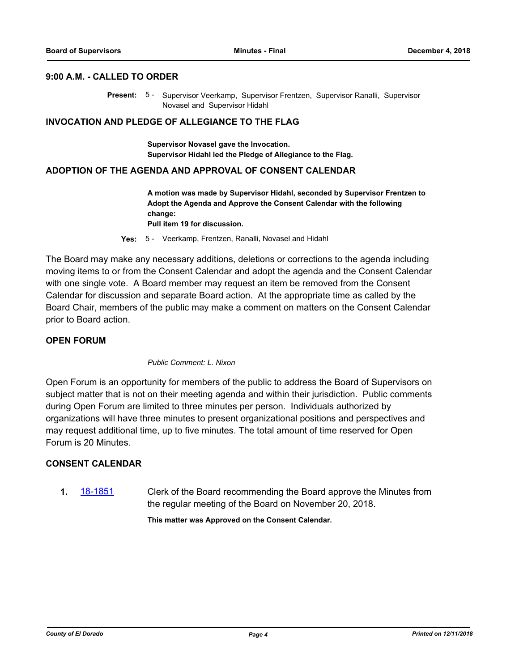#### **9:00 A.M. - CALLED TO ORDER**

Present: 5 - Supervisor Veerkamp, Supervisor Frentzen, Supervisor Ranalli, Supervisor Novasel and Supervisor Hidahl

#### **INVOCATION AND PLEDGE OF ALLEGIANCE TO THE FLAG**

**Supervisor Novasel gave the Invocation. Supervisor Hidahl led the Pledge of Allegiance to the Flag.**

#### **ADOPTION OF THE AGENDA AND APPROVAL OF CONSENT CALENDAR**

**A motion was made by Supervisor Hidahl, seconded by Supervisor Frentzen to Adopt the Agenda and Approve the Consent Calendar with the following change: Pull item 19 for discussion.**

**Yes:** 5 - Veerkamp, Frentzen, Ranalli, Novasel and Hidahl

The Board may make any necessary additions, deletions or corrections to the agenda including moving items to or from the Consent Calendar and adopt the agenda and the Consent Calendar with one single vote. A Board member may request an item be removed from the Consent Calendar for discussion and separate Board action. At the appropriate time as called by the Board Chair, members of the public may make a comment on matters on the Consent Calendar prior to Board action.

#### **OPEN FORUM**

#### *Public Comment: L. Nixon*

Open Forum is an opportunity for members of the public to address the Board of Supervisors on subject matter that is not on their meeting agenda and within their jurisdiction. Public comments during Open Forum are limited to three minutes per person. Individuals authorized by organizations will have three minutes to present organizational positions and perspectives and may request additional time, up to five minutes. The total amount of time reserved for Open Forum is 20 Minutes.

#### **CONSENT CALENDAR**

**1.** [18-1851](http://eldorado.legistar.com/gateway.aspx?m=l&id=/matter.aspx?key=25201) Clerk of the Board recommending the Board approve the Minutes from the regular meeting of the Board on November 20, 2018.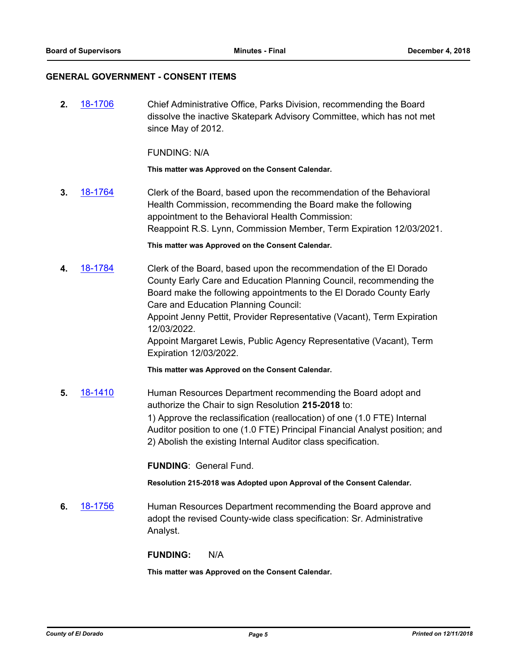#### **GENERAL GOVERNMENT - CONSENT ITEMS**

**2.** [18-1706](http://eldorado.legistar.com/gateway.aspx?m=l&id=/matter.aspx?key=25057) Chief Administrative Office, Parks Division, recommending the Board dissolve the inactive Skatepark Advisory Committee, which has not met since May of 2012.

FUNDING: N/A

**This matter was Approved on the Consent Calendar.**

**3.** [18-1764](http://eldorado.legistar.com/gateway.aspx?m=l&id=/matter.aspx?key=25115) Clerk of the Board, based upon the recommendation of the Behavioral Health Commission, recommending the Board make the following appointment to the Behavioral Health Commission: Reappoint R.S. Lynn, Commission Member, Term Expiration 12/03/2021.

**This matter was Approved on the Consent Calendar.**

**4.** [18-1784](http://eldorado.legistar.com/gateway.aspx?m=l&id=/matter.aspx?key=25135) Clerk of the Board, based upon the recommendation of the El Dorado County Early Care and Education Planning Council, recommending the Board make the following appointments to the El Dorado County Early Care and Education Planning Council: Appoint Jenny Pettit, Provider Representative (Vacant), Term Expiration 12/03/2022. Appoint Margaret Lewis, Public Agency Representative (Vacant), Term Expiration 12/03/2022.

**This matter was Approved on the Consent Calendar.**

**5.** [18-1410](http://eldorado.legistar.com/gateway.aspx?m=l&id=/matter.aspx?key=24762) Human Resources Department recommending the Board adopt and authorize the Chair to sign Resolution **215-2018** to: 1) Approve the reclassification (reallocation) of one (1.0 FTE) Internal Auditor position to one (1.0 FTE) Principal Financial Analyst position; and 2) Abolish the existing Internal Auditor class specification.

**FUNDING**: General Fund.

**Resolution 215-2018 was Adopted upon Approval of the Consent Calendar.**

**6.** [18-1756](http://eldorado.legistar.com/gateway.aspx?m=l&id=/matter.aspx?key=25107) Human Resources Department recommending the Board approve and adopt the revised County-wide class specification: Sr. Administrative Analyst.

**FUNDING:** N/A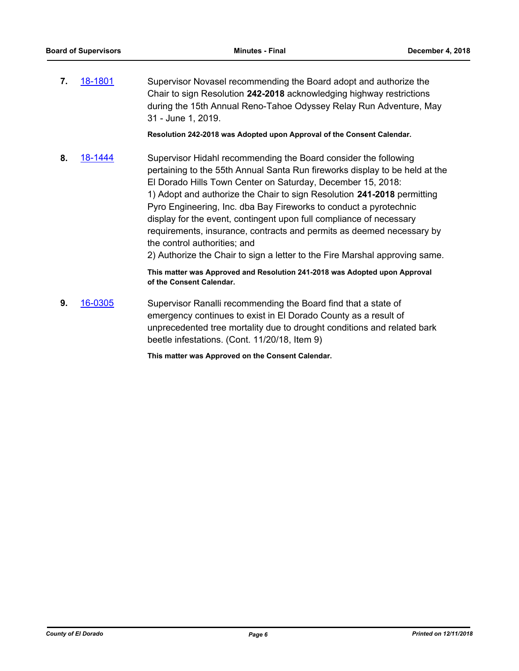**7.** [18-1801](http://eldorado.legistar.com/gateway.aspx?m=l&id=/matter.aspx?key=25152) Supervisor Novasel recommending the Board adopt and authorize the Chair to sign Resolution **242-2018** acknowledging highway restrictions during the 15th Annual Reno-Tahoe Odyssey Relay Run Adventure, May 31 - June 1, 2019.

**Resolution 242-2018 was Adopted upon Approval of the Consent Calendar.**

**8.** [18-1444](http://eldorado.legistar.com/gateway.aspx?m=l&id=/matter.aspx?key=24796) Supervisor Hidahl recommending the Board consider the following pertaining to the 55th Annual Santa Run fireworks display to be held at the El Dorado Hills Town Center on Saturday, December 15, 2018: 1) Adopt and authorize the Chair to sign Resolution **241-2018** permitting Pyro Engineering, Inc. dba Bay Fireworks to conduct a pyrotechnic display for the event, contingent upon full compliance of necessary requirements, insurance, contracts and permits as deemed necessary by the control authorities; and 2) Authorize the Chair to sign a letter to the Fire Marshal approving same.

> **This matter was Approved and Resolution 241-2018 was Adopted upon Approval of the Consent Calendar.**

**9.** [16-0305](http://eldorado.legistar.com/gateway.aspx?m=l&id=/matter.aspx?key=20961) Supervisor Ranalli recommending the Board find that a state of emergency continues to exist in El Dorado County as a result of unprecedented tree mortality due to drought conditions and related bark beetle infestations. (Cont. 11/20/18, Item 9)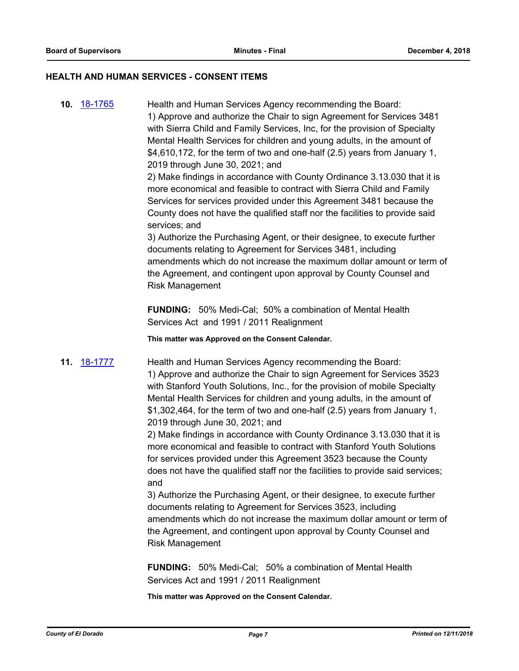#### **HEALTH AND HUMAN SERVICES - CONSENT ITEMS**

**10.** [18-1765](http://eldorado.legistar.com/gateway.aspx?m=l&id=/matter.aspx?key=25116) Health and Human Services Agency recommending the Board: 1) Approve and authorize the Chair to sign Agreement for Services 3481 with Sierra Child and Family Services, Inc, for the provision of Specialty Mental Health Services for children and young adults, in the amount of \$4,610,172, for the term of two and one-half (2.5) years from January 1, 2019 through June 30, 2021; and

> 2) Make findings in accordance with County Ordinance 3.13.030 that it is more economical and feasible to contract with Sierra Child and Family Services for services provided under this Agreement 3481 because the County does not have the qualified staff nor the facilities to provide said services; and

3) Authorize the Purchasing Agent, or their designee, to execute further documents relating to Agreement for Services 3481, including amendments which do not increase the maximum dollar amount or term of the Agreement, and contingent upon approval by County Counsel and Risk Management

**FUNDING:** 50% Medi-Cal; 50% a combination of Mental Health Services Act and 1991 / 2011 Realignment

**This matter was Approved on the Consent Calendar.**

**11.** [18-1777](http://eldorado.legistar.com/gateway.aspx?m=l&id=/matter.aspx?key=25128) Health and Human Services Agency recommending the Board: 1) Approve and authorize the Chair to sign Agreement for Services 3523 with Stanford Youth Solutions, Inc., for the provision of mobile Specialty Mental Health Services for children and young adults, in the amount of \$1,302,464, for the term of two and one-half (2.5) years from January 1, 2019 through June 30, 2021; and

> 2) Make findings in accordance with County Ordinance 3.13.030 that it is more economical and feasible to contract with Stanford Youth Solutions for services provided under this Agreement 3523 because the County does not have the qualified staff nor the facilities to provide said services; and

3) Authorize the Purchasing Agent, or their designee, to execute further documents relating to Agreement for Services 3523, including amendments which do not increase the maximum dollar amount or term of the Agreement, and contingent upon approval by County Counsel and Risk Management

**FUNDING:** 50% Medi-Cal; 50% a combination of Mental Health Services Act and 1991 / 2011 Realignment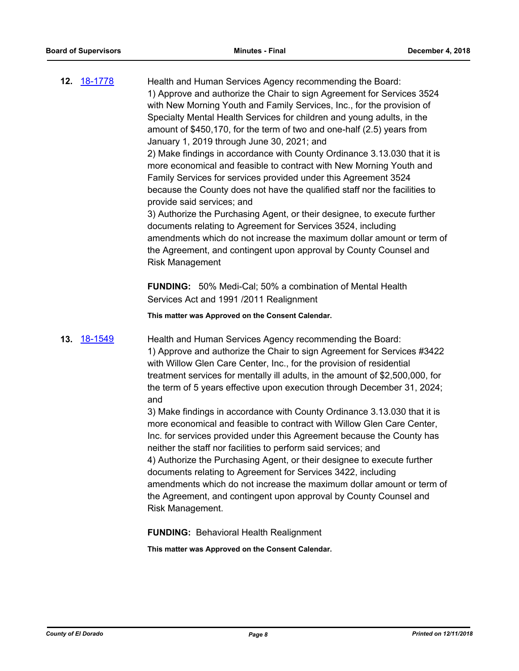| <b>12.</b> 18-1778 | Health and Human Services Agency recommending the Board:<br>1) Approve and authorize the Chair to sign Agreement for Services 3524<br>with New Morning Youth and Family Services, Inc., for the provision of<br>Specialty Mental Health Services for children and young adults, in the<br>amount of \$450,170, for the term of two and one-half (2.5) years from<br>January 1, 2019 through June 30, 2021; and<br>2) Make findings in accordance with County Ordinance 3.13.030 that it is<br>more economical and feasible to contract with New Morning Youth and<br>Family Services for services provided under this Agreement 3524<br>because the County does not have the qualified staff nor the facilities to<br>provide said services; and<br>3) Authorize the Purchasing Agent, or their designee, to execute further<br>documents relating to Agreement for Services 3524, including<br>amendments which do not increase the maximum dollar amount or term of<br>the Agreement, and contingent upon approval by County Counsel and<br><b>Risk Management</b><br><b>FUNDING:</b> 50% Medi-Cal; 50% a combination of Mental Health |
|--------------------|------------------------------------------------------------------------------------------------------------------------------------------------------------------------------------------------------------------------------------------------------------------------------------------------------------------------------------------------------------------------------------------------------------------------------------------------------------------------------------------------------------------------------------------------------------------------------------------------------------------------------------------------------------------------------------------------------------------------------------------------------------------------------------------------------------------------------------------------------------------------------------------------------------------------------------------------------------------------------------------------------------------------------------------------------------------------------------------------------------------------------------------|
|                    | Services Act and 1991 /2011 Realignment                                                                                                                                                                                                                                                                                                                                                                                                                                                                                                                                                                                                                                                                                                                                                                                                                                                                                                                                                                                                                                                                                                  |
|                    | This matter was Approved on the Consent Calendar.                                                                                                                                                                                                                                                                                                                                                                                                                                                                                                                                                                                                                                                                                                                                                                                                                                                                                                                                                                                                                                                                                        |
| <b>13. 18-1549</b> | Health and Human Services Agency recommending the Board:<br>1) Approve and authorize the Chair to sign Agreement for Services #3422<br>with Willow Glen Care Center, Inc., for the provision of residential<br>treatment services for mentally ill adults, in the amount of \$2,500,000, for<br>the term of 5 years effective upon execution through December 31, 2024;<br>and                                                                                                                                                                                                                                                                                                                                                                                                                                                                                                                                                                                                                                                                                                                                                           |
|                    | 3) Make findings in accordance with County Ordinance 3.13.030 that it is<br>more economical and feasible to contract with Willow Glen Care Center,<br>Inc. for services provided under this Agreement because the County has<br>neither the staff nor facilities to perform said services; and<br>4) Authorize the Purchasing Agent, or their designee to execute further<br>documents relating to Agreement for Services 3422, including<br>amendments which do not increase the maximum dollar amount or term of<br>the Agreement, and contingent upon approval by County Counsel and<br>Risk Management.                                                                                                                                                                                                                                                                                                                                                                                                                                                                                                                              |

**FUNDING:** Behavioral Health Realignment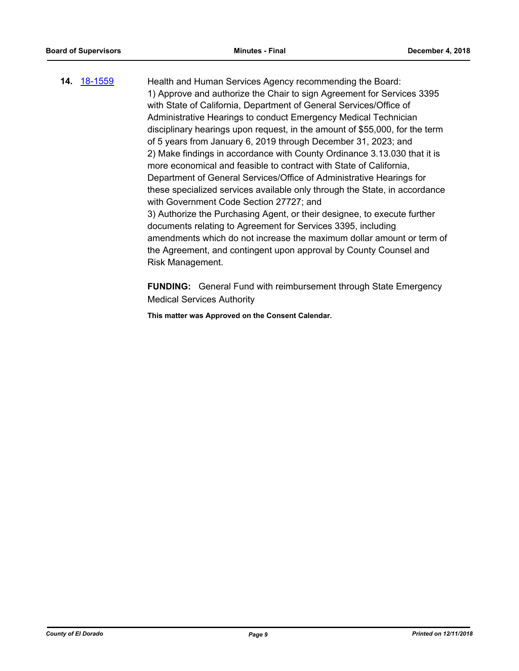**14.** [18-1559](http://eldorado.legistar.com/gateway.aspx?m=l&id=/matter.aspx?key=24910) Health and Human Services Agency recommending the Board: 1) Approve and authorize the Chair to sign Agreement for Services 3395 with State of California, Department of General Services/Office of Administrative Hearings to conduct Emergency Medical Technician disciplinary hearings upon request, in the amount of \$55,000, for the term of 5 years from January 6, 2019 through December 31, 2023; and 2) Make findings in accordance with County Ordinance 3.13.030 that it is more economical and feasible to contract with State of California, Department of General Services/Office of Administrative Hearings for these specialized services available only through the State, in accordance with Government Code Section 27727; and 3) Authorize the Purchasing Agent, or their designee, to execute further documents relating to Agreement for Services 3395, including amendments which do not increase the maximum dollar amount or term of the Agreement, and contingent upon approval by County Counsel and Risk Management.

> **FUNDING:** General Fund with reimbursement through State Emergency Medical Services Authority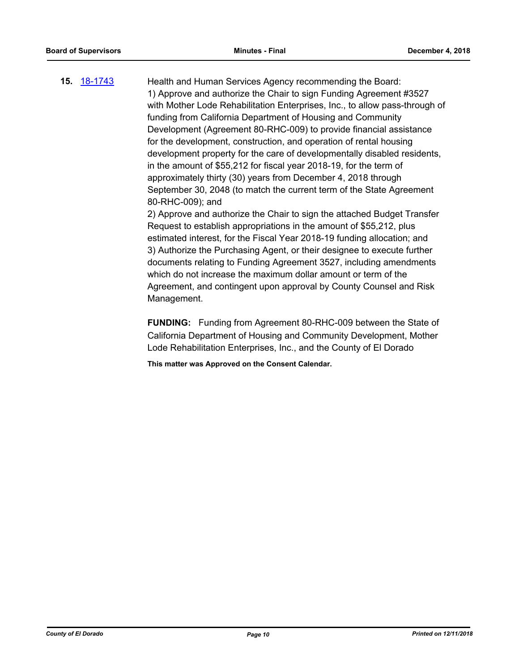**15.** [18-1743](http://eldorado.legistar.com/gateway.aspx?m=l&id=/matter.aspx?key=25094) Health and Human Services Agency recommending the Board: 1) Approve and authorize the Chair to sign Funding Agreement #3527 with Mother Lode Rehabilitation Enterprises, Inc., to allow pass-through of funding from California Department of Housing and Community Development (Agreement 80-RHC-009) to provide financial assistance for the development, construction, and operation of rental housing development property for the care of developmentally disabled residents, in the amount of \$55,212 for fiscal year 2018-19, for the term of approximately thirty (30) years from December 4, 2018 through September 30, 2048 (to match the current term of the State Agreement 80-RHC-009); and

2) Approve and authorize the Chair to sign the attached Budget Transfer Request to establish appropriations in the amount of \$55,212, plus estimated interest, for the Fiscal Year 2018-19 funding allocation; and 3) Authorize the Purchasing Agent, or their designee to execute further documents relating to Funding Agreement 3527, including amendments which do not increase the maximum dollar amount or term of the Agreement, and contingent upon approval by County Counsel and Risk Management.

**FUNDING:** Funding from Agreement 80-RHC-009 between the State of California Department of Housing and Community Development, Mother Lode Rehabilitation Enterprises, Inc., and the County of El Dorado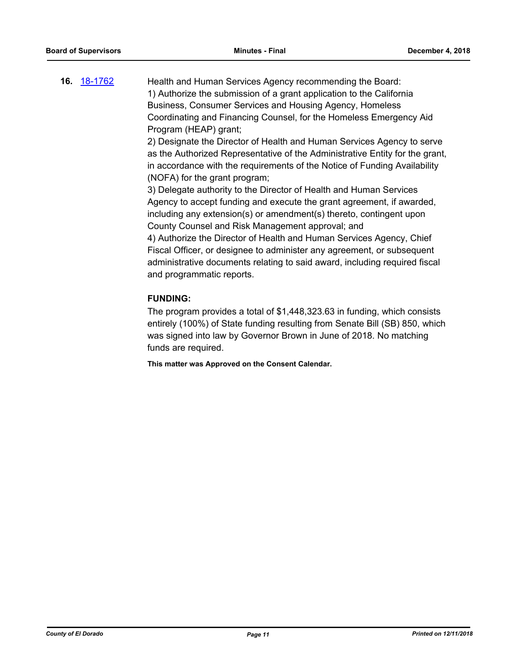**16.** [18-1762](http://eldorado.legistar.com/gateway.aspx?m=l&id=/matter.aspx?key=25113) Health and Human Services Agency recommending the Board: 1) Authorize the submission of a grant application to the California Business, Consumer Services and Housing Agency, Homeless Coordinating and Financing Counsel, for the Homeless Emergency Aid Program (HEAP) grant;

> 2) Designate the Director of Health and Human Services Agency to serve as the Authorized Representative of the Administrative Entity for the grant, in accordance with the requirements of the Notice of Funding Availability (NOFA) for the grant program;

3) Delegate authority to the Director of Health and Human Services Agency to accept funding and execute the grant agreement, if awarded, including any extension(s) or amendment(s) thereto, contingent upon County Counsel and Risk Management approval; and

4) Authorize the Director of Health and Human Services Agency, Chief Fiscal Officer, or designee to administer any agreement, or subsequent administrative documents relating to said award, including required fiscal and programmatic reports.

## **FUNDING:**

The program provides a total of \$1,448,323.63 in funding, which consists entirely (100%) of State funding resulting from Senate Bill (SB) 850, which was signed into law by Governor Brown in June of 2018. No matching funds are required.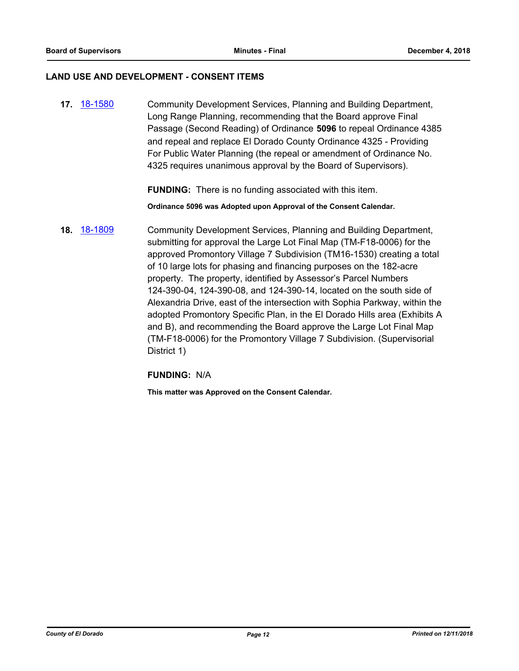#### **LAND USE AND DEVELOPMENT - CONSENT ITEMS**

**17.** [18-1580](http://eldorado.legistar.com/gateway.aspx?m=l&id=/matter.aspx?key=24931) Community Development Services, Planning and Building Department, Long Range Planning, recommending that the Board approve Final Passage (Second Reading) of Ordinance **5096** to repeal Ordinance 4385 and repeal and replace El Dorado County Ordinance 4325 - Providing For Public Water Planning (the repeal or amendment of Ordinance No. 4325 requires unanimous approval by the Board of Supervisors).

**FUNDING:** There is no funding associated with this item.

**Ordinance 5096 was Adopted upon Approval of the Consent Calendar.**

**18.** [18-1809](http://eldorado.legistar.com/gateway.aspx?m=l&id=/matter.aspx?key=25160) Community Development Services, Planning and Building Department, submitting for approval the Large Lot Final Map (TM-F18-0006) for the approved Promontory Village 7 Subdivision (TM16-1530) creating a total of 10 large lots for phasing and financing purposes on the 182-acre property. The property, identified by Assessor's Parcel Numbers 124-390-04, 124-390-08, and 124-390-14, located on the south side of Alexandria Drive, east of the intersection with Sophia Parkway, within the adopted Promontory Specific Plan, in the El Dorado Hills area (Exhibits A and B), and recommending the Board approve the Large Lot Final Map (TM-F18-0006) for the Promontory Village 7 Subdivision. (Supervisorial District 1)

**FUNDING:** N/A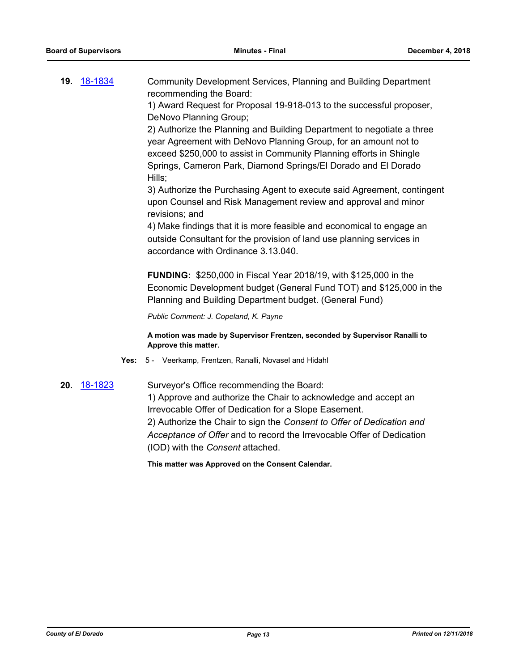**19.** [18-1834](http://eldorado.legistar.com/gateway.aspx?m=l&id=/matter.aspx?key=25063) Community Development Services, Planning and Building Department recommending the Board:

1) Award Request for Proposal 19-918-013 to the successful proposer, DeNovo Planning Group;

2) Authorize the Planning and Building Department to negotiate a three year Agreement with DeNovo Planning Group, for an amount not to exceed \$250,000 to assist in Community Planning efforts in Shingle Springs, Cameron Park, Diamond Springs/El Dorado and El Dorado Hills;

3) Authorize the Purchasing Agent to execute said Agreement, contingent upon Counsel and Risk Management review and approval and minor revisions; and

4) Make findings that it is more feasible and economical to engage an outside Consultant for the provision of land use planning services in accordance with Ordinance 3.13.040.

**FUNDING:** \$250,000 in Fiscal Year 2018/19, with \$125,000 in the Economic Development budget (General Fund TOT) and \$125,000 in the Planning and Building Department budget. (General Fund)

*Public Comment: J. Copeland, K. Payne*

**A motion was made by Supervisor Frentzen, seconded by Supervisor Ranalli to Approve this matter.**

- **Yes:** 5 Veerkamp, Frentzen, Ranalli, Novasel and Hidahl
- **20.** [18-1823](http://eldorado.legistar.com/gateway.aspx?m=l&id=/matter.aspx?key=25174) Surveyor's Office recommending the Board: 1) Approve and authorize the Chair to acknowledge and accept an Irrevocable Offer of Dedication for a Slope Easement. 2) Authorize the Chair to sign the *Consent to Offer of Dedication and Acceptance of Offer* and to record the Irrevocable Offer of Dedication (IOD) with the *Consent* attached.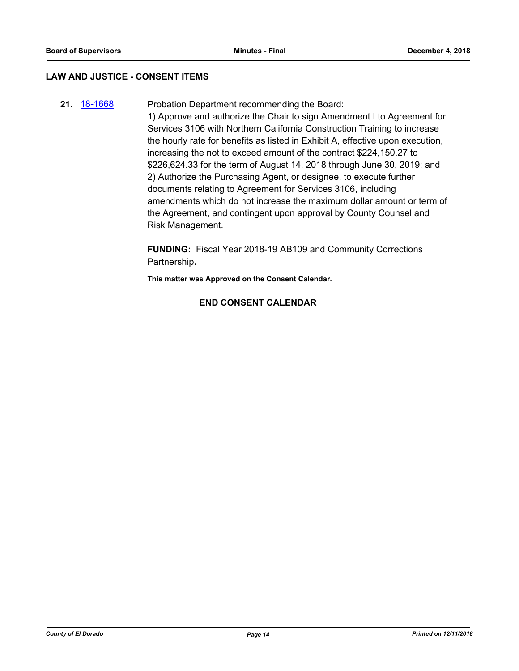#### **LAW AND JUSTICE - CONSENT ITEMS**

**21.** [18-1668](http://eldorado.legistar.com/gateway.aspx?m=l&id=/matter.aspx?key=25019) Probation Department recommending the Board: 1) Approve and authorize the Chair to sign Amendment I to Agreement for Services 3106 with Northern California Construction Training to increase the hourly rate for benefits as listed in Exhibit A, effective upon execution, increasing the not to exceed amount of the contract \$224,150.27 to \$226,624.33 for the term of August 14, 2018 through June 30, 2019; and 2) Authorize the Purchasing Agent, or designee, to execute further documents relating to Agreement for Services 3106, including amendments which do not increase the maximum dollar amount or term of the Agreement, and contingent upon approval by County Counsel and Risk Management.

> **FUNDING:** Fiscal Year 2018-19 AB109 and Community Corrections Partnership**.**

**This matter was Approved on the Consent Calendar.**

## **END CONSENT CALENDAR**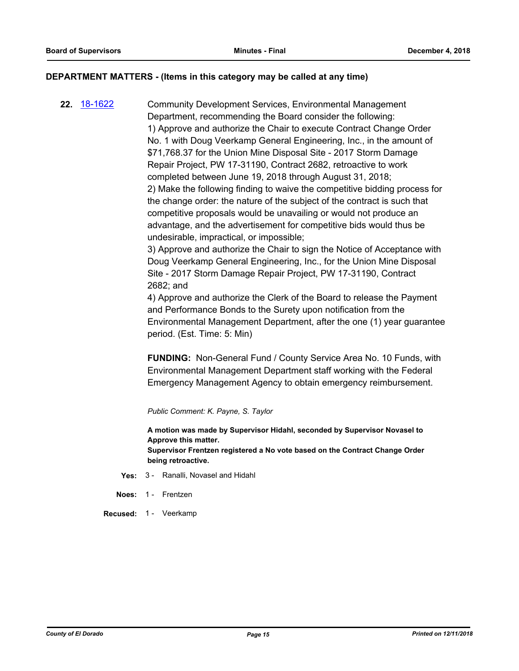#### **DEPARTMENT MATTERS - (Items in this category may be called at any time)**

**22.** [18-1622](http://eldorado.legistar.com/gateway.aspx?m=l&id=/matter.aspx?key=24973) Community Development Services, Environmental Management Department, recommending the Board consider the following: 1) Approve and authorize the Chair to execute Contract Change Order No. 1 with Doug Veerkamp General Engineering, Inc., in the amount of \$71,768.37 for the Union Mine Disposal Site - 2017 Storm Damage Repair Project, PW 17-31190, Contract 2682, retroactive to work completed between June 19, 2018 through August 31, 2018; 2) Make the following finding to waive the competitive bidding process for the change order: the nature of the subject of the contract is such that competitive proposals would be unavailing or would not produce an advantage, and the advertisement for competitive bids would thus be undesirable, impractical, or impossible;

> 3) Approve and authorize the Chair to sign the Notice of Acceptance with Doug Veerkamp General Engineering, Inc., for the Union Mine Disposal Site - 2017 Storm Damage Repair Project, PW 17-31190, Contract 2682; and

4) Approve and authorize the Clerk of the Board to release the Payment and Performance Bonds to the Surety upon notification from the Environmental Management Department, after the one (1) year guarantee period. (Est. Time: 5: Min)

**FUNDING:** Non-General Fund / County Service Area No. 10 Funds, with Environmental Management Department staff working with the Federal Emergency Management Agency to obtain emergency reimbursement.

*Public Comment: K. Payne, S. Taylor*

**A motion was made by Supervisor Hidahl, seconded by Supervisor Novasel to Approve this matter. Supervisor Frentzen registered a No vote based on the Contract Change Order being retroactive.**

- **Yes:** 3 Ranalli, Novasel and Hidahl
- **Noes:** 1 Frentzen
- **Recused:** 1 Veerkamp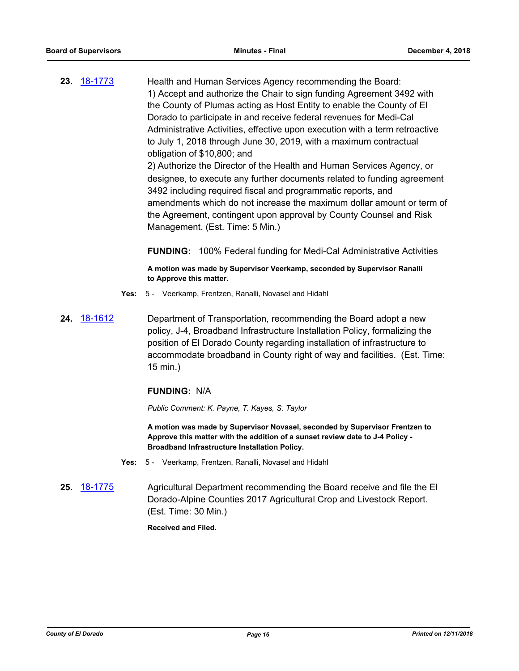**23.** [18-1773](http://eldorado.legistar.com/gateway.aspx?m=l&id=/matter.aspx?key=25124) Health and Human Services Agency recommending the Board: 1) Accept and authorize the Chair to sign funding Agreement 3492 with the County of Plumas acting as Host Entity to enable the County of El Dorado to participate in and receive federal revenues for Medi-Cal Administrative Activities, effective upon execution with a term retroactive to July 1, 2018 through June 30, 2019, with a maximum contractual obligation of \$10,800; and 2) Authorize the Director of the Health and Human Services Agency, or designee, to execute any further documents related to funding agreement 3492 including required fiscal and programmatic reports, and amendments which do not increase the maximum dollar amount or term of the Agreement, contingent upon approval by County Counsel and Risk

Management. (Est. Time: 5 Min.)

**FUNDING:** 100% Federal funding for Medi-Cal Administrative Activities

**A motion was made by Supervisor Veerkamp, seconded by Supervisor Ranalli to Approve this matter.**

- **Yes:** 5 Veerkamp, Frentzen, Ranalli, Novasel and Hidahl
- **24.** [18-1612](http://eldorado.legistar.com/gateway.aspx?m=l&id=/matter.aspx?key=24963) Department of Transportation, recommending the Board adopt a new policy, J-4, Broadband Infrastructure Installation Policy, formalizing the position of El Dorado County regarding installation of infrastructure to accommodate broadband in County right of way and facilities. (Est. Time: 15 min.)

## **FUNDING:** N/A

*Public Comment: K. Payne, T. Kayes, S. Taylor*

**A motion was made by Supervisor Novasel, seconded by Supervisor Frentzen to Approve this matter with the addition of a sunset review date to J-4 Policy - Broadband Infrastructure Installation Policy.**

- **Yes:** 5 Veerkamp, Frentzen, Ranalli, Novasel and Hidahl
- **25.** [18-1775](http://eldorado.legistar.com/gateway.aspx?m=l&id=/matter.aspx?key=25126) Agricultural Department recommending the Board receive and file the El Dorado-Alpine Counties 2017 Agricultural Crop and Livestock Report. (Est. Time: 30 Min.)

#### **Received and Filed.**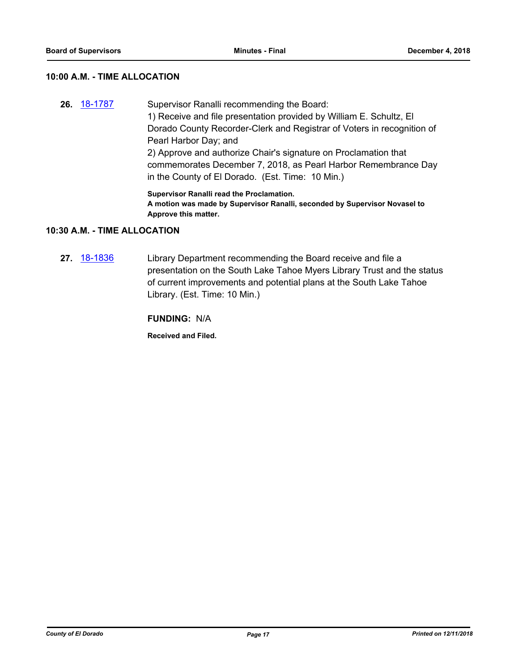## **10:00 A.M. - TIME ALLOCATION**

**26.** [18-1787](http://eldorado.legistar.com/gateway.aspx?m=l&id=/matter.aspx?key=25138) Supervisor Ranalli recommending the Board: 1) Receive and file presentation provided by William E. Schultz, El Dorado County Recorder-Clerk and Registrar of Voters in recognition of Pearl Harbor Day; and 2) Approve and authorize Chair's signature on Proclamation that commemorates December 7, 2018, as Pearl Harbor Remembrance Day in the County of El Dorado. (Est. Time: 10 Min.)

**Supervisor Ranalli read the Proclamation. A motion was made by Supervisor Ranalli, seconded by Supervisor Novasel to Approve this matter.**

#### **10:30 A.M. - TIME ALLOCATION**

**27.** [18-1836](http://eldorado.legistar.com/gateway.aspx?m=l&id=/matter.aspx?key=25186) Library Department recommending the Board receive and file a presentation on the South Lake Tahoe Myers Library Trust and the status of current improvements and potential plans at the South Lake Tahoe Library. (Est. Time: 10 Min.)

**FUNDING:** N/A

**Received and Filed.**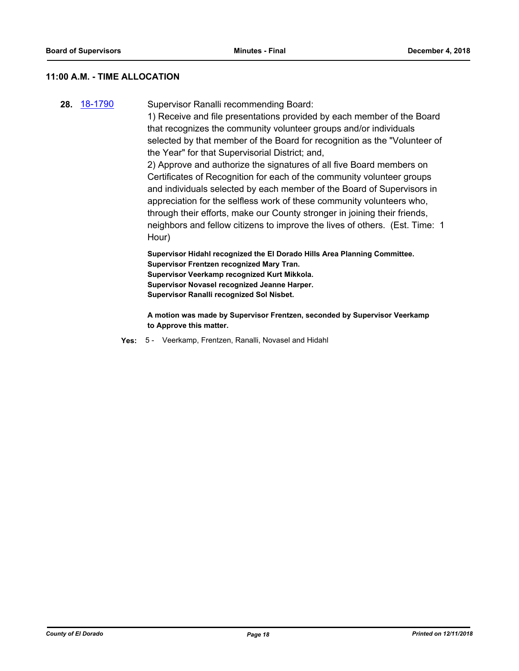## **11:00 A.M. - TIME ALLOCATION**

**28.** [18-1790](http://eldorado.legistar.com/gateway.aspx?m=l&id=/matter.aspx?key=25141) Supervisor Ranalli recommending Board:

1) Receive and file presentations provided by each member of the Board that recognizes the community volunteer groups and/or individuals selected by that member of the Board for recognition as the "Volunteer of the Year" for that Supervisorial District; and,

2) Approve and authorize the signatures of all five Board members on Certificates of Recognition for each of the community volunteer groups and individuals selected by each member of the Board of Supervisors in appreciation for the selfless work of these community volunteers who, through their efforts, make our County stronger in joining their friends, neighbors and fellow citizens to improve the lives of others. (Est. Time: 1 Hour)

**Supervisor Hidahl recognized the El Dorado Hills Area Planning Committee. Supervisor Frentzen recognized Mary Tran. Supervisor Veerkamp recognized Kurt Mikkola. Supervisor Novasel recognized Jeanne Harper. Supervisor Ranalli recognized Sol Nisbet.**

**A motion was made by Supervisor Frentzen, seconded by Supervisor Veerkamp to Approve this matter.**

**Yes:** 5 - Veerkamp, Frentzen, Ranalli, Novasel and Hidahl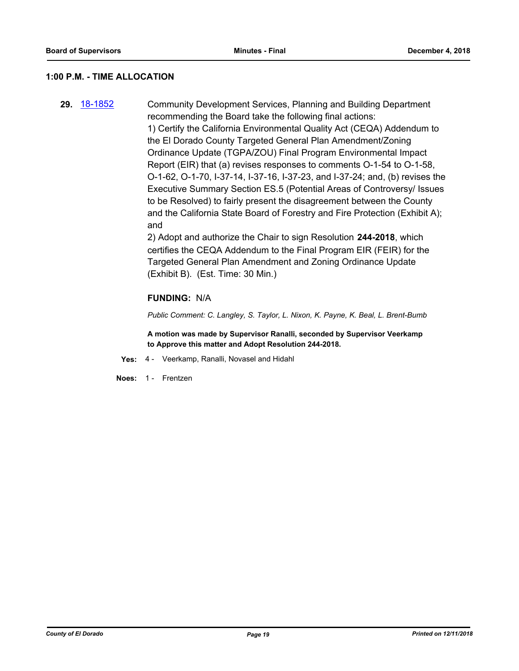#### **1:00 P.M. - TIME ALLOCATION**

**29.** [18-1852](http://eldorado.legistar.com/gateway.aspx?m=l&id=/matter.aspx?key=25202) Community Development Services, Planning and Building Department recommending the Board take the following final actions: 1) Certify the California Environmental Quality Act (CEQA) Addendum to the El Dorado County Targeted General Plan Amendment/Zoning Ordinance Update (TGPA/ZOU) Final Program Environmental Impact Report (EIR) that (a) revises responses to comments O-1-54 to O-1-58, O-1-62, O-1-70, I-37-14, I-37-16, I-37-23, and I-37-24; and, (b) revises the Executive Summary Section ES.5 (Potential Areas of Controversy/ Issues to be Resolved) to fairly present the disagreement between the County and the California State Board of Forestry and Fire Protection (Exhibit A); and

> 2) Adopt and authorize the Chair to sign Resolution **244-2018**, which certifies the CEQA Addendum to the Final Program EIR (FEIR) for the Targeted General Plan Amendment and Zoning Ordinance Update (Exhibit B). (Est. Time: 30 Min.)

#### **FUNDING:** N/A

*Public Comment: C. Langley, S. Taylor, L. Nixon, K. Payne, K. Beal, L. Brent-Bumb*

**A motion was made by Supervisor Ranalli, seconded by Supervisor Veerkamp to Approve this matter and Adopt Resolution 244-2018.**

**Yes:** 4 - Veerkamp, Ranalli, Novasel and Hidahl

**Noes:** 1 - Frentzen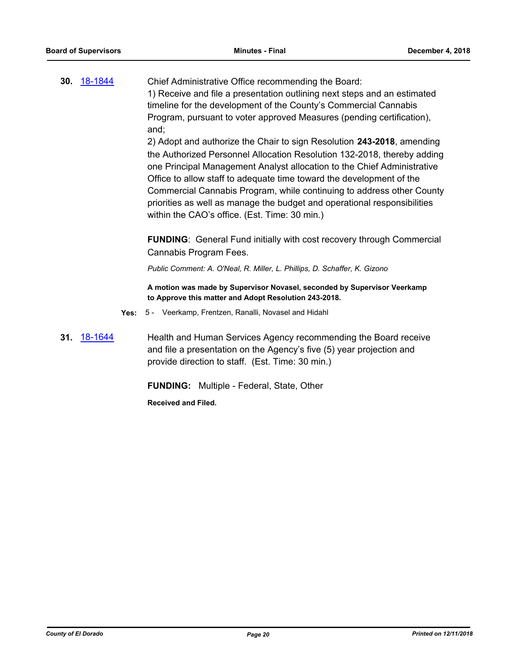**30.** [18-1844](http://eldorado.legistar.com/gateway.aspx?m=l&id=/matter.aspx?key=25194) Chief Administrative Office recommending the Board: 1) Receive and file a presentation outlining next steps and an estimated timeline for the development of the County's Commercial Cannabis Program, pursuant to voter approved Measures (pending certification), and;

2) Adopt and authorize the Chair to sign Resolution **243-2018**, amending the Authorized Personnel Allocation Resolution 132-2018, thereby adding one Principal Management Analyst allocation to the Chief Administrative Office to allow staff to adequate time toward the development of the Commercial Cannabis Program, while continuing to address other County priorities as well as manage the budget and operational responsibilities within the CAO's office. (Est. Time: 30 min.)

**FUNDING**: General Fund initially with cost recovery through Commercial Cannabis Program Fees.

*Public Comment: A. O'Neal, R. Miller, L. Phillips, D. Schaffer, K. Gizono*

**A motion was made by Supervisor Novasel, seconded by Supervisor Veerkamp to Approve this matter and Adopt Resolution 243-2018.**

- **Yes:** 5 Veerkamp, Frentzen, Ranalli, Novasel and Hidahl
- **31.** [18-1644](http://eldorado.legistar.com/gateway.aspx?m=l&id=/matter.aspx?key=24995) Health and Human Services Agency recommending the Board receive and file a presentation on the Agency's five (5) year projection and provide direction to staff. (Est. Time: 30 min.)

**FUNDING:** Multiple - Federal, State, Other

**Received and Filed.**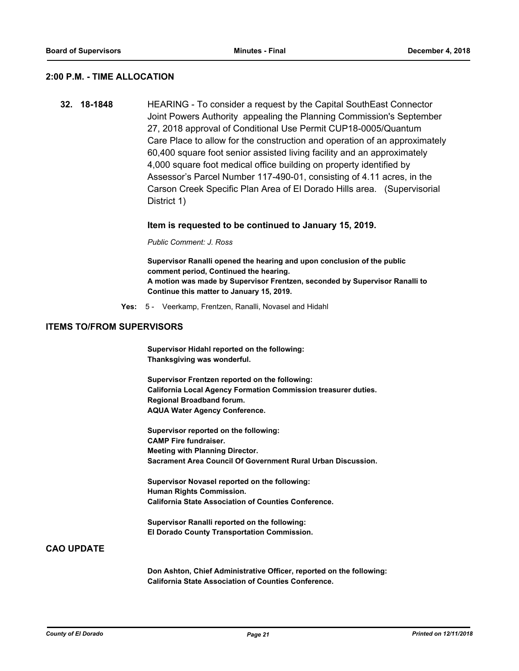#### **2:00 P.M. - TIME ALLOCATION**

**32. 18-1848** HEARING - To consider a request by the Capital SouthEast Connector Joint Powers Authority appealing the Planning Commission's September 27, 2018 approval of Conditional Use Permit CUP18-0005/Quantum Care Place to allow for the construction and operation of an approximately 60,400 square foot senior assisted living facility and an approximately 4,000 square foot medical office building on property identified by Assessor's Parcel Number 117-490-01, consisting of 4.11 acres, in the Carson Creek Specific Plan Area of El Dorado Hills area. (Supervisorial District 1)

#### **Item is requested to be continued to January 15, 2019.**

*Public Comment: J. Ross*

**Supervisor Ranalli opened the hearing and upon conclusion of the public comment period, Continued the hearing. A motion was made by Supervisor Frentzen, seconded by Supervisor Ranalli to Continue this matter to January 15, 2019.**

**Yes:** 5 - Veerkamp, Frentzen, Ranalli, Novasel and Hidahl

#### **ITEMS TO/FROM SUPERVISORS**

**Supervisor Hidahl reported on the following: Thanksgiving was wonderful.**

**Supervisor Frentzen reported on the following: California Local Agency Formation Commission treasurer duties. Regional Broadband forum. AQUA Water Agency Conference.**

**Supervisor reported on the following: CAMP Fire fundraiser. Meeting with Planning Director. Sacrament Area Council Of Government Rural Urban Discussion.**

**Supervisor Novasel reported on the following: Human Rights Commission. California State Association of Counties Conference.**

**Supervisor Ranalli reported on the following: El Dorado County Transportation Commission.**

#### **CAO UPDATE**

**Don Ashton, Chief Administrative Officer, reported on the following: California State Association of Counties Conference.**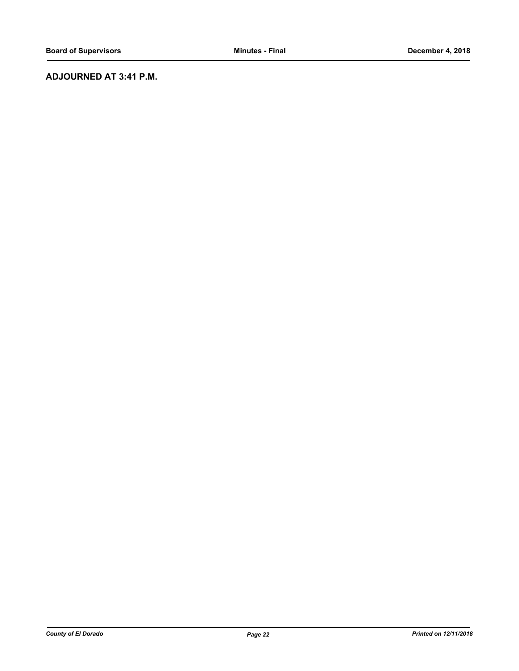## **ADJOURNED AT 3:41 P.M.**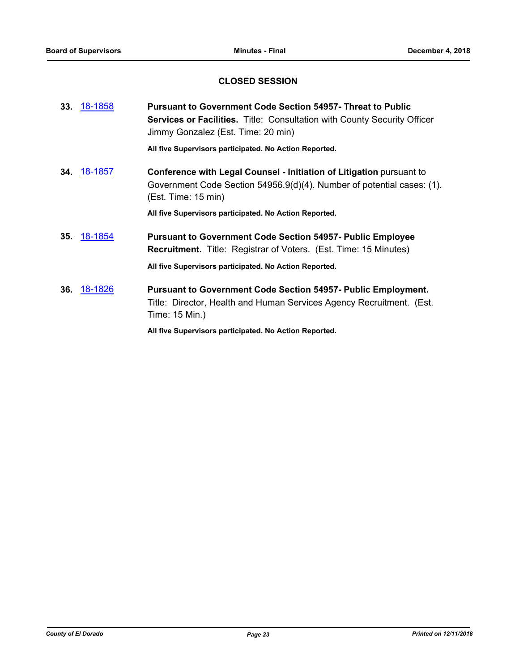## **CLOSED SESSION**

| 33. 18-1858        | <b>Pursuant to Government Code Section 54957- Threat to Public</b><br><b>Services or Facilities.</b> Title: Consultation with County Security Officer<br>Jimmy Gonzalez (Est. Time: 20 min) |
|--------------------|---------------------------------------------------------------------------------------------------------------------------------------------------------------------------------------------|
|                    | All five Supervisors participated. No Action Reported.                                                                                                                                      |
| 34. 18-1857        | Conference with Legal Counsel - Initiation of Litigation pursuant to<br>Government Code Section 54956.9(d)(4). Number of potential cases: (1).<br>(Est. Time: 15 min)                       |
|                    | All five Supervisors participated. No Action Reported.                                                                                                                                      |
| <b>35.</b> 18-1854 | <b>Pursuant to Government Code Section 54957- Public Employee</b><br><b>Recruitment.</b> Title: Registrar of Voters. (Est. Time: 15 Minutes)                                                |
|                    | All five Supervisors participated. No Action Reported.                                                                                                                                      |
| <b>36.</b> 18-1826 | <b>Pursuant to Government Code Section 54957- Public Employment.</b><br>Title: Director, Health and Human Services Agency Recruitment. (Est.<br>Time: 15 Min.)                              |
|                    | All five Supervisors participated. No Action Reported.                                                                                                                                      |